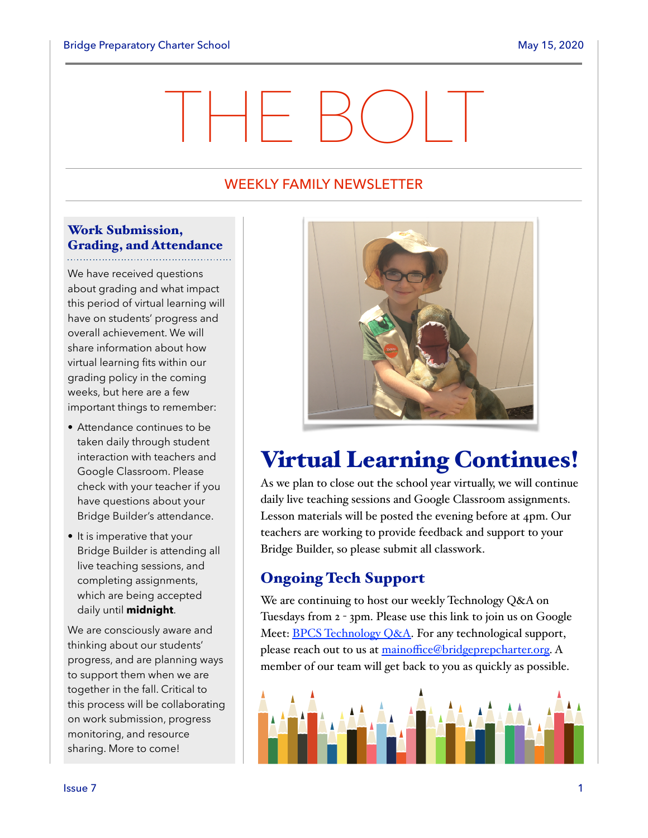# THE BOLT

## WEEKLY FAMILY NEWSLETTER

### Work Submission, Grading, and Attendance

We have received questions about grading and what impact this period of virtual learning will have on students' progress and overall achievement. We will share information about how virtual learning fits within our grading policy in the coming weeks, but here are a few important things to remember:

- Attendance continues to be taken daily through student interaction with teachers and Google Classroom. Please check with your teacher if you have questions about your Bridge Builder's attendance.
- It is imperative that your Bridge Builder is attending all live teaching sessions, and completing assignments, which are being accepted daily until **midnight**.

We are consciously aware and thinking about our students' progress, and are planning ways to support them when we are together in the fall. Critical to this process will be collaborating on work submission, progress monitoring, and resource sharing. More to come!



# Virtual Learning Continues!

As we plan to close out the school year virtually, we will continue daily live teaching sessions and Google Classroom assignments. Lesson materials will be posted the evening before at 4pm. Our teachers are working to provide feedback and support to your Bridge Builder, so please submit all classwork.

# Ongoing Tech Support

We are continuing to host our weekly Technology Q&A on Tuesdays from 2 - 3pm. Please use this link to join us on Google Meet: **BPCS** Technology *Q&A*. For any technological support, please reach out to us at mainoffi[ce@bridgeprepcharter.org](mailto:mainoffice@bridgeprepcharter.org). A member of our team will get back to you as quickly as possible.